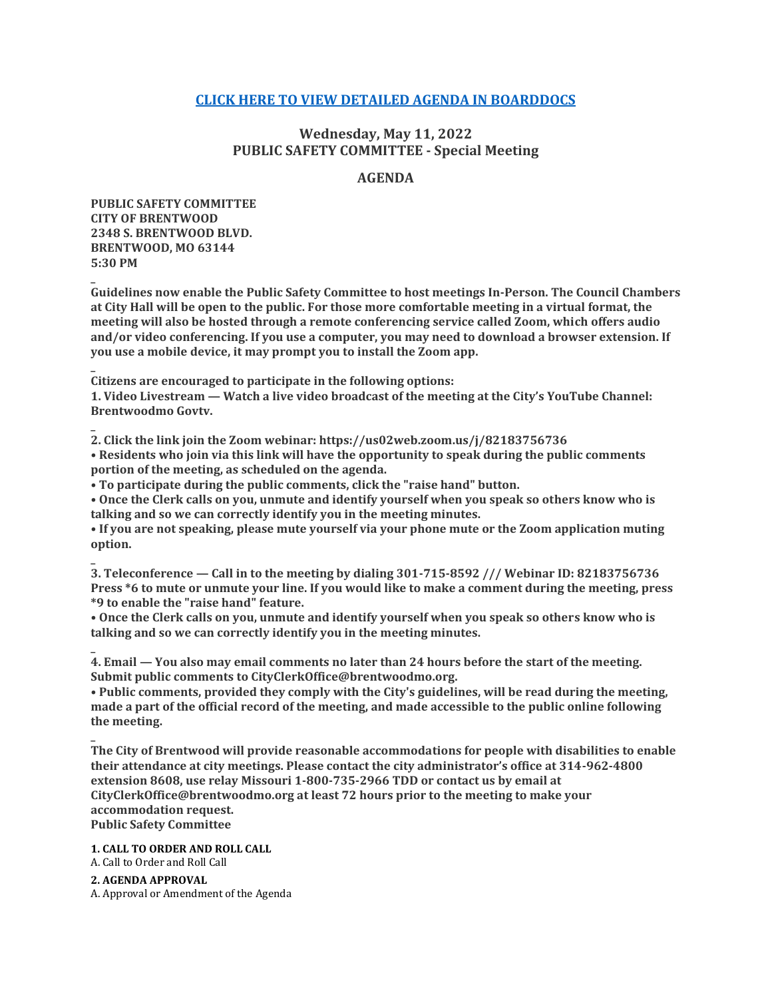# **[CLICK HERE TO VIEW DETAILED AGENDA IN BOARDDOCS](http://go.boarddocs.com/mo/cob/Board.nsf/goto?open&id=CE4N2W5D4F39)**

# **Wednesday, May 11, 2022 PUBLIC SAFETY COMMITTEE - Special Meeting**

## **AGENDA**

**PUBLIC SAFETY COMMITTEE CITY OF BRENTWOOD 2348 S. BRENTWOOD BLVD. BRENTWOOD, MO 63144 5:30 PM**

**\_**

**\_**

**\_**

**Guidelines now enable the Public Safety Committee to host meetings In-Person. The Council Chambers at City Hall will be open to the public. For those more comfortable meeting in a virtual format, the meeting will also be hosted through a remote conferencing service called Zoom, which offers audio and/or video conferencing. If you use a computer, you may need to download a browser extension. If you use a mobile device, it may prompt you to install the Zoom app.**

**\_ Citizens are encouraged to participate in the following options:**

**1. Video Livestream — Watch a live video broadcast of the meeting at the City's YouTube Channel: Brentwoodmo Govtv.**

**2. Click the link join the Zoom webinar: https://us02web.zoom.us/j/82183756736 • Residents who join via this link will have the opportunity to speak during the public comments portion of the meeting, as scheduled on the agenda.**

**• To participate during the public comments, click the "raise hand" button.**

**• Once the Clerk calls on you, unmute and identify yourself when you speak so others know who is talking and so we can correctly identify you in the meeting minutes.**

**• If you are not speaking, please mute yourself via your phone mute or the Zoom application muting option.**

**\_ 3. Teleconference — Call in to the meeting by dialing 301-715-8592 /// Webinar ID: 82183756736 Press \*6 to mute or unmute your line. If you would like to make a comment during the meeting, press \*9 to enable the "raise hand" feature.**

**• Once the Clerk calls on you, unmute and identify yourself when you speak so others know who is talking and so we can correctly identify you in the meeting minutes.**

**\_ 4. Email — You also may email comments no later than 24 hours before the start of the meeting. Submit public comments to CityClerkOffice@brentwoodmo.org.**

**• Public comments, provided they comply with the City's guidelines, will be read during the meeting, made a part of the official record of the meeting, and made accessible to the public online following the meeting.**

**The City of Brentwood will provide reasonable accommodations for people with disabilities to enable their attendance at city meetings. Please contact the city administrator's office at 314-962-4800 extension 8608, use relay Missouri 1-800-735-2966 TDD or contact us by email at CityClerkOffice@brentwoodmo.org at least 72 hours prior to the meeting to make your accommodation request. Public Safety Committee**

#### **1. CALL TO ORDER AND ROLL CALL**

A. Call to Order and Roll Call

**2. AGENDA APPROVAL**

A. Approval or Amendment of the Agenda